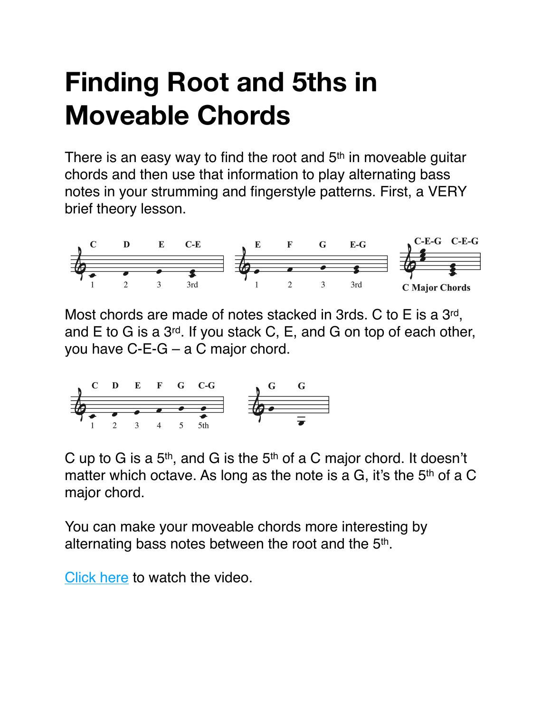## **Finding Root and 5ths in Moveable Chords**

There is an easy way to find the root and  $5<sup>th</sup>$  in moveable guitar chords and then use that information to play alternating bass notes in your strumming and fingerstyle patterns. First, a VERY brief theory lesson.



Most chords are made of notes stacked in 3rds. C to E is a 3rd, and E to G is a 3rd. If you stack C, E, and G on top of each other, you have C-E-G – a C major chord.



C up to G is a  $5<sup>th</sup>$ , and G is the  $5<sup>th</sup>$  of a C major chord. It doesn't matter which octave. As long as the note is a G, it's the 5<sup>th</sup> of a C major chord.

You can make your moveable chords more interesting by alternating bass notes between the root and the 5th.

[Click here](https://youtu.be/cfdBPE85uOA) to watch the video.